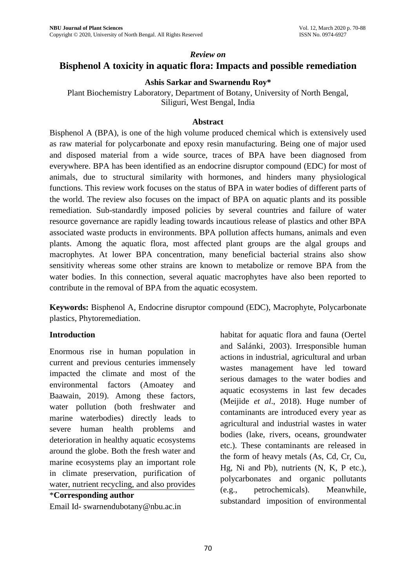#### *Review on*

# **Bisphenol A toxicity in aquatic flora: Impacts and possible remediation**

#### **Ashis Sarkar and Swarnendu Roy\***

Plant Biochemistry Laboratory, Department of Botany, University of North Bengal, Siliguri, West Bengal, India

#### **Abstract**

Bisphenol A (BPA), is one of the high volume produced chemical which is extensively used as raw material for polycarbonate and epoxy resin manufacturing. Being one of major used and disposed material from a wide source, traces of BPA have been diagnosed from everywhere. BPA has been identified as an endocrine disruptor compound (EDC) for most of animals, due to structural similarity with hormones, and hinders many physiological functions. This review work focuses on the status of BPA in water bodies of different parts of the world. The review also focuses on the impact of BPA on aquatic plants and its possible remediation. Sub-standardly imposed policies by several countries and failure of water resource governance are rapidly leading towards incautious release of plastics and other BPA associated waste products in environments. BPA pollution affects humans, animals and even plants. Among the aquatic flora, most affected plant groups are the algal groups and macrophytes. At lower BPA concentration, many beneficial bacterial strains also show sensitivity whereas some other strains are known to metabolize or remove BPA from the water bodies. In this connection, several aquatic macrophytes have also been reported to contribute in the removal of BPA from the aquatic ecosystem.

**Keywords:** Bisphenol A, Endocrine disruptor compound (EDC), Macrophyte, Polycarbonate plastics, Phytoremediation.

### **Introduction**

Enormous rise in human population in current and previous centuries immensely impacted the climate and most of the environmental factors (Amoatey and Baawain, 2019). Among these factors, water pollution (both freshwater and marine waterbodies) directly leads to severe human health problems and deterioration in healthy aquatic ecosystems around the globe. Both the fresh water and marine ecosystems play an important role in climate preservation, purification of water, nutrient recycling, and also provides

\***Corresponding author**

Email Id- [swarnendubotany@nbu.ac.in](mailto:swarnendubotany@nbu.ac.in)

habitat for aquatic flora and fauna (Oertel and Salánki, 2003). Irresponsible human actions in industrial, agricultural and urban wastes management have led toward serious damages to the water bodies and aquatic ecosystems in last few decades (Meijide *et al*., 2018). Huge number of contaminants are introduced every year as agricultural and industrial wastes in water bodies (lake, rivers, oceans, groundwater etc.). These contaminants are released in the form of heavy metals (As, Cd, Cr, Cu, Hg, Ni and Pb), nutrients (N, K, P etc.), polycarbonates and organic pollutants (e.g., petrochemicals). Meanwhile, substandard imposition of environmental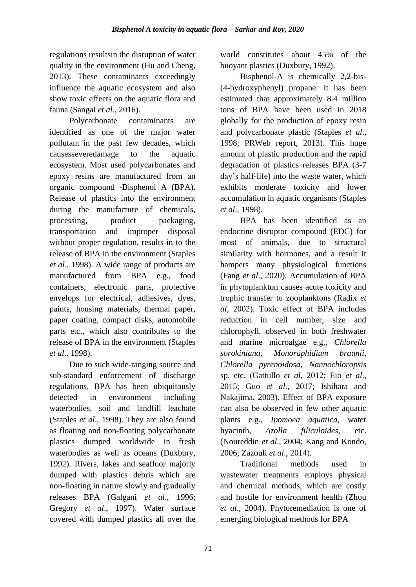regulations resultsin the disruption of water quality in the environment (Hu and Cheng, 2013). These contaminants exceedingly influence the aquatic ecosystem and also show toxic effects on the aquatic flora and fauna (Sangai *et al*., 2016).

Polycarbonate contaminants are identified as one of the major water pollutant in the past few decades, which causesseveredamage to the aquatic ecosystem. Most used polycarbonates and epoxy resins are manufactured from an organic compound -Bisphenol A (BPA). Release of plastics into the environment during the manufacture of chemicals, processing, product packaging, transportation and improper disposal without proper regulation, results in to the release of BPA in the environment (Staples *et al*., 1998). A wide range of products are manufactured from BPA e.g., food containers, electronic parts, protective envelops for electrical, adhesives, dyes, paints, housing materials, thermal paper, paper coating, compact disks, automobile parts etc., which also contributes to the release of BPA in the environment (Staples *et al*., 1998).

Due to such wide-ranging source and sub-standard enforcement of discharge regulations, BPA has been ubiquitously detected in environment including waterbodies, soil and landfill leachate (Staples *et al*., 1998). They are also found as floating and non-floating polycarbonate plastics dumped worldwide in fresh waterbodies as well as oceans (Duxbury, 1992). Rivers, lakes and seafloor majorly dumped with plastics debris which are non-floating in nature slowly and gradually releases BPA (Galgani *et al*., 1996; Gregory *et al*., 1997). Water surface covered with dumped plastics all over the world constitutes about 45% of the buoyant plastics (Duxbury, 1992).

Bisphenol-A is chemically 2,2-bis- (4-hydroxyphenyl) propane. It has been estimated that approximately 8.4 million tons of BPA have been used in 2018 globally for the production of epoxy resin and polycarbonate plastic (Staples *et al*., 1998; PRWeb report, 2013). This huge amount of plastic production and the rapid degradation of plastics releases BPA (3-7 day's half-life) into the waste water, which exhibits moderate toxicity and lower accumulation in aquatic organisms (Staples *et al*., 1998).

BPA has been identified as an endocrine disruptor compound (EDC) for most of animals, due to structural similarity with hormones, and a result it hampers many physiological functions (Fang *et al*., 2020). Accumulation of BPA in phytoplankton causes acute toxicity and trophic transfer to zooplanktons (Radix *et al*, 2002). Toxic effect of BPA includes reduction in cell number, size and chlorophyll, observed in both freshwater and marine microalgae e.g., *Chlorella sorokiniana*, *Monoraphidium braunii*, *Chlorella pyrenoidosa*, *Nannochloropsis*  sp. etc. (Gattullo *et al*, 2012; Eio *et al*., 2015; Guo *et al*., 2017; Ishihara and Nakajima, 2003). Effect of BPA exposure can also be observed in few other aquatic plants e.g., *Ipomoea aquatica*, water hyacinth, *Azolla filiculoides*, etc. (Noureddin *et al*., 2004; Kang and Kondo, 2006; Zazouli *et al*., 2014).

Traditional methods used in wastewater treatments employs physical and chemical methods, which are costly and hostile for environment health (Zhou *et al*., 2004). Phytoremediation is one of emerging biological methods for BPA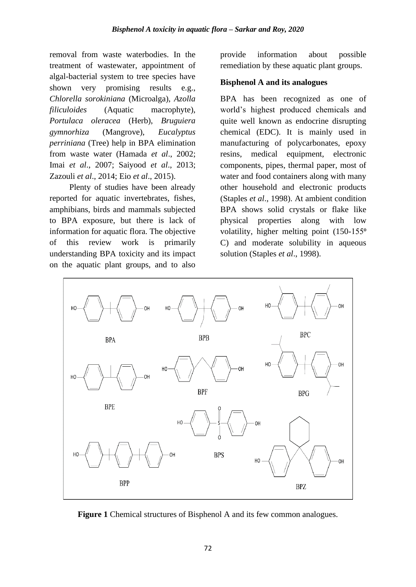removal from waste waterbodies. In the treatment of wastewater, appointment of algal-bacterial system to tree species have shown very promising results e.g., *Chlorella sorokiniana* (Microalga), *Azolla filiculoides* (Aquatic macrophyte), *Portulaca oleracea* (Herb), *Bruguiera gymnorhiza* (Mangrove), *Eucalyptus perriniana* (Tree) help in BPA elimination from waste water (Hamada *et al*., 2002; Imai *et al*., 2007; Saiyood *et al*., 2013; Zazouli *et al*., 2014; Eio *et al*., 2015).

Plenty of studies have been already reported for aquatic invertebrates, fishes, amphibians, birds and mammals subjected to BPA exposure, but there is lack of information for aquatic flora. The objective of this review work is primarily understanding BPA toxicity and its impact on the aquatic plant groups, and to also

provide information about possible remediation by these aquatic plant groups.

### **Bisphenol A and its analogues**

BPA has been recognized as one of world's highest produced chemicals and quite well known as endocrine disrupting chemical (EDC). It is mainly used in manufacturing of polycarbonates, epoxy resins, medical equipment, electronic components, pipes, thermal paper, most of water and food containers along with many other household and electronic products (Staples *et al*., 1998). At ambient condition BPA shows solid crystals or flake like physical properties along with low volatility, higher melting point  $(150-155)$ <sup>o</sup> C) and moderate solubility in aqueous solution (Staples *et al*., 1998).



**Figure 1** Chemical structures of Bisphenol A and its few common analogues.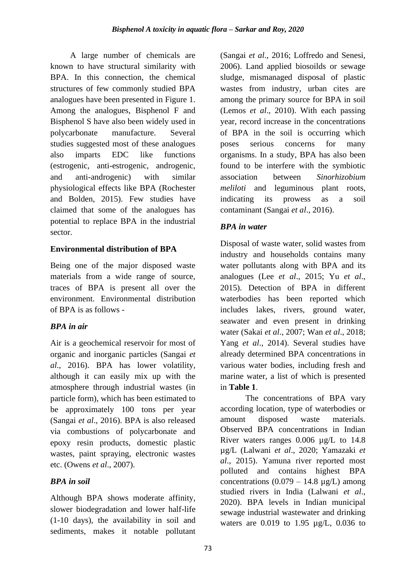A large number of chemicals are known to have structural similarity with BPA. In this connection, the chemical structures of few commonly studied BPA analogues have been presented in Figure 1. Among the analogues, Bisphenol F and Bisphenol S have also been widely used in polycarbonate manufacture. Several studies suggested most of these analogues also imparts EDC like functions (estrogenic, anti-estrogenic, androgenic, and anti-androgenic) with similar physiological effects like BPA (Rochester and Bolden, 2015). Few studies have claimed that some of the analogues has potential to replace BPA in the industrial sector.

# **Environmental distribution of BPA**

Being one of the major disposed waste materials from a wide range of source, traces of BPA is present all over the environment. Environmental distribution of BPA is as follows -

# *BPA in air*

Air is a geochemical reservoir for most of organic and inorganic particles (Sangai *et al*., 2016). BPA has lower volatility, although it can easily mix up with the atmosphere through industrial wastes (in particle form), which has been estimated to be approximately 100 tons per year (Sangai *et al*., 2016). BPA is also released via combustions of polycarbonate and epoxy resin products, domestic plastic wastes, paint spraying, electronic wastes etc. (Owens *et al*., 2007).

# *BPA in soil*

Although BPA shows moderate affinity, slower biodegradation and lower half-life (1-10 days), the availability in soil and sediments, makes it notable pollutant

(Sangai *et al*., 2016; Loffredo and Senesi, 2006). Land applied biosoilds or sewage sludge, mismanaged disposal of plastic wastes from industry, urban cites are among the primary source for BPA in soil (Lemos *et al*., 2010). With each passing year, record increase in the concentrations of BPA in the soil is occurring which poses serious concerns for many organisms. In a study, BPA has also been found to be interfere with the symbiotic association between *Sinorhizobium meliloti* and leguminous plant roots, indicating its prowess as a soil contaminant (Sangai *et al*., 2016).

# *BPA in water*

Disposal of waste water, solid wastes from industry and households contains many water pollutants along with BPA and its analogues (Lee *et al*., 2015; Yu *et al*., 2015). Detection of BPA in different waterbodies has been reported which includes lakes, rivers, ground water, seawater and even present in drinking water (Sakai *et al*., 2007; Wan *et al*., 2018; Yang *et al*., 2014). Several studies have already determined BPA concentrations in various water bodies, including fresh and marine water, a list of which is presented in **Table 1**.

The concentrations of BPA vary according location, type of waterbodies or amount disposed waste materials. Observed BPA concentrations in Indian River waters ranges 0.006 µg/L to 14.8 µg/L (Lalwani *et al*., 2020; Yamazaki *et al*., 2015). Yamuna river reported most polluted and contains highest BPA concentrations  $(0.079 - 14.8 \mu g/L)$  among studied rivers in India (Lalwani *et al*., 2020). BPA levels in Indian municipal sewage industrial wastewater and drinking waters are 0.019 to 1.95 µg/L, 0.036 to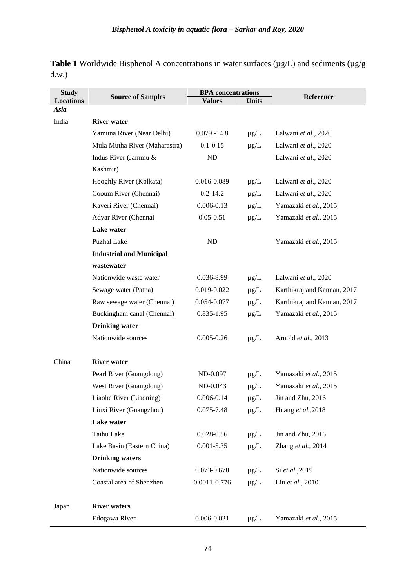Table 1 Worldwide Bisphenol A concentrations in water surfaces ( $\mu$ g/L) and sediments ( $\mu$ g/g d.w.)

| <b>Study</b><br><b>Locations</b> | <b>Source of Samples</b>        | <b>BPA</b> concentrations |              | Reference                   |  |
|----------------------------------|---------------------------------|---------------------------|--------------|-----------------------------|--|
| Asia                             |                                 | <b>Values</b>             | <b>Units</b> |                             |  |
| India                            | <b>River water</b>              |                           |              |                             |  |
|                                  | Yamuna River (Near Delhi)       | $0.079 - 14.8$            | $\mu$ g/L    | Lalwani et al., 2020        |  |
|                                  | Mula Mutha River (Maharastra)   | $0.1 - 0.15$              | $\mu$ g/L    | Lalwani et al., 2020        |  |
|                                  | Indus River (Jammu &            | ND                        |              | Lalwani et al., 2020        |  |
|                                  | Kashmir)                        |                           |              |                             |  |
|                                  | Hooghly River (Kolkata)         | 0.016-0.089               | $\mu$ g/L    | Lalwani et al., 2020        |  |
|                                  | Cooum River (Chennai)           | $0.2 - 14.2$              | $\mu$ g/L    | Lalwani et al., 2020        |  |
|                                  | Kaveri River (Chennai)          | $0.006 - 0.13$            | $\mu$ g/L    | Yamazaki et al., 2015       |  |
|                                  | Adyar River (Chennai            | $0.05 - 0.51$             | $\mu$ g/L    | Yamazaki et al., 2015       |  |
|                                  | Lake water                      |                           |              |                             |  |
|                                  | <b>Puzhal Lake</b>              | ND                        |              | Yamazaki et al., 2015       |  |
|                                  | <b>Industrial and Municipal</b> |                           |              |                             |  |
|                                  | wastewater                      |                           |              |                             |  |
|                                  | Nationwide waste water          | 0.036-8.99                | $\mu$ g/L    | Lalwani et al., 2020        |  |
|                                  | Sewage water (Patna)            | 0.019-0.022               | $\mu$ g/L    | Karthikraj and Kannan, 2017 |  |
|                                  | Raw sewage water (Chennai)      | 0.054-0.077               | $\mu$ g/L    | Karthikraj and Kannan, 2017 |  |
|                                  | Buckingham canal (Chennai)      | $0.835 - 1.95$            | $\mu$ g/L    | Yamazaki et al., 2015       |  |
|                                  | <b>Drinking</b> water           |                           |              |                             |  |
|                                  | Nationwide sources              | $0.005 - 0.26$            | $\mu$ g/L    | Arnold et al., 2013         |  |
| China                            | <b>River water</b>              |                           |              |                             |  |
|                                  | Pearl River (Guangdong)         | ND-0.097                  | $\mu$ g/L    | Yamazaki et al., 2015       |  |
|                                  | West River (Guangdong)          | ND-0.043                  | $\mu$ g/L    | Yamazaki et al., 2015       |  |
|                                  | Liaohe River (Liaoning)         | $0.006 - 0.14$            | $\mu$ g/L    | Jin and Zhu, 2016           |  |
|                                  | Liuxi River (Guangzhou)         | 0.075-7.48                | $\mu$ g/L    | Huang et al., 2018          |  |
|                                  | Lake water                      |                           |              |                             |  |
|                                  | Taihu Lake                      | 0.028-0.56                | $\mu$ g/L    | Jin and Zhu, 2016           |  |
|                                  | Lake Basin (Eastern China)      | $0.001 - 5.35$            | $\mu$ g/L    | Zhang et al., 2014          |  |
|                                  | <b>Drinking waters</b>          |                           |              |                             |  |
|                                  | Nationwide sources              | 0.073-0.678               | $\mu$ g/L    | Si et al., 2019             |  |
|                                  | Coastal area of Shenzhen        | $0.0011 - 0.776$          | $\mu$ g/L    | Liu et al., 2010            |  |
|                                  |                                 |                           |              |                             |  |
| Japan                            | <b>River waters</b>             |                           |              |                             |  |
|                                  | Edogawa River                   | 0.006-0.021               | $\mu$ g/L    | Yamazaki et al., 2015       |  |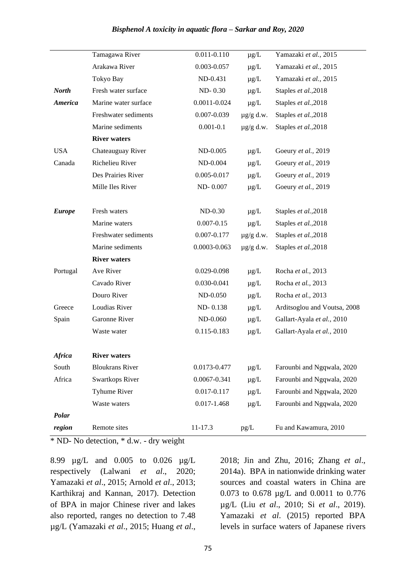|                | Tamagawa River         | $0.011 - 0.110$  | $\mu$ g/L      | Yamazaki et al., 2015        |
|----------------|------------------------|------------------|----------------|------------------------------|
|                | Arakawa River          | $0.003 - 0.057$  | $\mu$ g/L      | Yamazaki et al., 2015        |
|                | Tokyo Bay              | ND-0.431         | $\mu$ g/L      | Yamazaki et al., 2015        |
| <b>North</b>   | Fresh water surface    | $ND-0.30$        | $\mu$ g/L      | Staples et al., 2018         |
| <b>America</b> | Marine water surface   | $0.0011 - 0.024$ | $\mu$ g/L      | Staples et al., 2018         |
|                | Freshwater sediments   | $0.007 - 0.039$  | $\mu$ g/g d.w. | Staples et al., 2018         |
|                | Marine sediments       | $0.001 - 0.1$    | $\mu$ g/g d.w. | Staples et al., 2018         |
|                | <b>River waters</b>    |                  |                |                              |
| <b>USA</b>     | Chateauguay River      | ND-0.005         | $\mu$ g/L      | Goeury et al., 2019          |
| Canada         | Richelieu River        | ND-0.004         | $\mu$ g/L      | Goeury et al., 2019          |
|                | Des Prairies River     | $0.005 - 0.017$  | $\mu$ g/L      | Goeury et al., 2019          |
|                | Mille Iles River       | ND-0.007         | $\mu$ g/L      | Goeury et al., 2019          |
|                |                        |                  |                |                              |
| <b>Europe</b>  | Fresh waters           | $ND-0.30$        | $\mu$ g/L      | Staples et al., 2018         |
|                | Marine waters          | $0.007 - 0.15$   | $\mu$ g/L      | Staples et al., 2018         |
|                | Freshwater sediments   | $0.007 - 0.177$  | $\mu$ g/g d.w. | Staples et al., 2018         |
|                | Marine sediments       | $0.0003 - 0.063$ | $\mu$ g/g d.w. | Staples et al., 2018         |
|                | <b>River waters</b>    |                  |                |                              |
| Portugal       | Ave River              | 0.029-0.098      | $\mu$ g/L      | Rocha et al., 2013           |
|                | Cavado River           | 0.030-0.041      | $\mu$ g/L      | Rocha et al., 2013           |
|                | Douro River            | $ND-0.050$       | $\mu$ g/L      | Rocha et al., 2013           |
| Greece         | Loudias River          | ND-0.138         | $\mu$ g/L      | Arditsoglou and Voutsa, 2008 |
| Spain          | Garonne River          | ND-0.060         | $\mu$ g/L      | Gallart-Ayala et al., 2010   |
|                | Waste water            | 0.115-0.183      | $\mu$ g/L      | Gallart-Ayala et al., 2010   |
|                |                        |                  |                |                              |
| Africa         | <b>River waters</b>    |                  |                |                              |
| South          | <b>Bloukrans River</b> | 0.0173-0.477     | $\mu$ g/L      | Farounbi and Ngqwala, 2020   |
| Africa         | <b>Swartkops River</b> | 0.0067-0.341     | $\mu$ g/L      | Farounbi and Ngqwala, 2020   |
|                | Tyhume River           | $0.017 - 0.117$  | $\mu$ g/L      | Farounbi and Ngqwala, 2020   |
|                | Waste waters           | $0.017 - 1.468$  | $\mu$ g/L      | Farounbi and Ngqwala, 2020   |
| Polar          |                        |                  |                |                              |
| region         | Remote sites           | 11-17.3          | pg/L           | Fu and Kawamura, 2010        |

\* ND- No detection, \* d.w. - dry weight

8.99 µg/L and 0.005 to 0.026 µg/L respectively (Lalwani *et al*., 2020; Yamazaki *et al*., 2015; Arnold *et al*., 2013; Karthikraj and Kannan, 2017). Detection of BPA in major Chinese river and lakes also reported, ranges no detection to 7.48 µg/L (Yamazaki *et al*., 2015; Huang *et al*.,

2018; Jin and Zhu, 2016; Zhang *et al*., 2014a). BPA in nationwide drinking water sources and coastal waters in China are 0.073 to 0.678 µg/L and 0.0011 to 0.776 µg/L (Liu *et al*., 2010; Si *et al*., 2019). Yamazaki *et al*. (2015) reported BPA levels in surface waters of Japanese rivers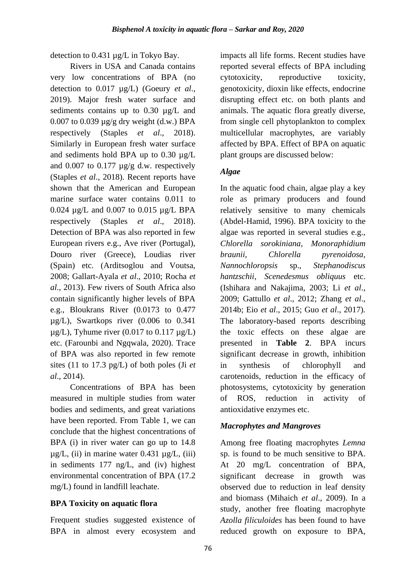detection to 0.431 µg/L in Tokyo Bay.

Rivers in USA and Canada contains very low concentrations of BPA (no detection to 0.017 µg/L) (Goeury *et al*., 2019). Major fresh water surface and sediments contains up to 0.30  $\mu$ g/L and 0.007 to 0.039  $\mu$ g/g dry weight (d.w.) BPA respectively (Staples *et al*., 2018). Similarly in European fresh water surface and sediments hold BPA up to 0.30 µg/L and  $0.007$  to  $0.177 \mu g/g$  d.w. respectively (Staples *et al*., 2018). Recent reports have shown that the American and European marine surface water contains 0.011 to 0.024 µg/L and 0.007 to 0.015 µg/L BPA respectively (Staples *et al*., 2018). Detection of BPA was also reported in few European rivers e.g., Ave river (Portugal), Douro river (Greece), Loudias river (Spain) etc. (Arditsoglou and Voutsa, 2008; Gallart-Ayala *et al*., 2010; Rocha *et al*., 2013). Few rivers of South Africa also contain significantly higher levels of BPA e.g., Bloukrans River (0.0173 to 0.477  $\mu$ g/L), Swartkops river (0.006 to 0.341  $\mu$ g/L), Tyhume river (0.017 to 0.117  $\mu$ g/L) etc. (Farounbi and Ngqwala, 2020). Trace of BPA was also reported in few remote sites (11 to 17.3 pg/L) of both poles (Ji *et al*., 2014).

Concentrations of BPA has been measured in multiple studies from water bodies and sediments, and great variations have been reported. From Table 1, we can conclude that the highest concentrations of BPA (i) in river water can go up to 14.8  $\mu$ g/L, (ii) in marine water 0.431  $\mu$ g/L, (iii) in sediments 177 ng/L, and (iv) highest environmental concentration of BPA (17.2 mg/L) found in landfill leachate.

### **BPA Toxicity on aquatic flora**

Frequent studies suggested existence of BPA in almost every ecosystem and

impacts all life forms. Recent studies have reported several effects of BPA including cytotoxicity, reproductive toxicity, genotoxicity, dioxin like effects, endocrine disrupting effect etc. on both plants and animals. The aquatic flora greatly diverse, from single cell phytoplankton to complex multicellular macrophytes, are variably affected by BPA. Effect of BPA on aquatic plant groups are discussed below:

### *Algae*

In the aquatic food chain, algae play a key role as primary producers and found relatively sensitive to many chemicals (Abdel-Hamid, 1996). BPA toxicity to the algae was reported in several studies e.g., *Chlorella sorokiniana*, *Monoraphidium braunii, Chlorella pyrenoidosa*, *Nannochloropsis* sp., *Stephanodiscus hantzschii*, *Scenedesmus obliquus* etc. (Ishihara and Nakajima, 2003; Li *et al*., 2009; Gattullo *et al*., 2012; Zhang *et al*., 2014b; Eio *et al*., 2015; Guo *et al*., 2017)*.*  The laboratory-based reports describing the toxic effects on these algae are presented in **Table 2**. BPA incurs significant decrease in growth, inhibition in synthesis of chlorophyll and carotenoids, reduction in the efficacy of photosystems, cytotoxicity by generation of ROS, reduction in activity of antioxidative enzymes etc.

### *Macrophytes and Mangroves*

Among free floating macrophytes *Lemna*  sp. is found to be much sensitive to BPA. At 20 mg/L concentration of BPA, significant decrease in growth was observed due to reduction in leaf density and biomass (Mihaich *et al*., 2009). In a study, another free floating macrophyte *Azolla filiculoides* has been found to have reduced growth on exposure to BPA,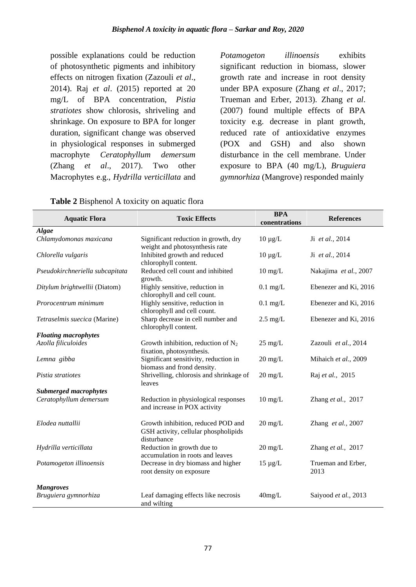possible explanations could be reduction of photosynthetic pigments and inhibitory effects on nitrogen fixation (Zazouli *et al*., 2014). Raj *et al*. (2015) reported at 20 mg/L of BPA concentration, *Pistia stratiotes* show chlorosis, shriveling and shrinkage. On exposure to BPA for longer duration, significant change was observed in physiological responses in submerged macrophyte *Ceratophyllum demersum* (Zhang *et al*., 2017). Two other Macrophytes e.g., *Hydrilla verticillata* and

*Potamogeton illinoensis* exhibits significant reduction in biomass, slower growth rate and increase in root density under BPA exposure (Zhang *et al*., 2017; Trueman and Erber, 2013). Zhang *et al*. (2007) found multiple effects of BPA toxicity e.g. decrease in plant growth, reduced rate of antioxidative enzymes (POX and GSH) and also shown disturbance in the cell membrane. Under exposure to BPA (40 mg/L), *Bruguiera gymnorhiza* (Mangrove) responded mainly

| <b>Aquatic Flora</b>            | <b>Toxic Effects</b>                                                                      | <b>BPA</b><br>conentrations | <b>References</b>          |
|---------------------------------|-------------------------------------------------------------------------------------------|-----------------------------|----------------------------|
| <b>Algae</b>                    |                                                                                           |                             |                            |
| Chlamydomonas maxicana          | Significant reduction in growth, dry<br>weight and photosynthesis rate                    | $10 \mu g/L$                | Ji et al., 2014            |
| Chlorella vulgaris              | Inhibited growth and reduced<br>chlorophyll content.                                      | $10 \mu g/L$                | Ji et al., 2014            |
| Pseudokirchneriella subcapitata | Reduced cell count and inhibited<br>growth.                                               | $10 \text{ mg/L}$           | Nakajima et al., 2007      |
| Ditylum brightwellii (Diatom)   | Highly sensitive, reduction in<br>chlorophyll and cell count.                             | $0.1$ mg/L                  | Ebenezer and Ki, 2016      |
| Prorocentrum minimum            | Highly sensitive, reduction in<br>chlorophyll and cell count.                             | $0.1$ mg/L                  | Ebenezer and Ki, 2016      |
| Tetraselmis suecica (Marine)    | Sharp decrease in cell number and<br>chlorophyll content.                                 | $2.5 \text{ mg/L}$          | Ebenezer and Ki, 2016      |
| <b>Floating macrophytes</b>     |                                                                                           |                             |                            |
| Azolla filiculoides             | Growth inhibition, reduction of $N_2$<br>fixation, photosynthesis.                        | $25 \text{ mg/L}$           | Zazouli et al., 2014       |
| Lemna gibba                     | Significant sensitivity, reduction in<br>biomass and frond density.                       | $20 \text{ mg/L}$           | Mihaich et al., 2009       |
| Pistia stratiotes               | Shrivelling, chlorosis and shrinkage of<br>leaves                                         | $20 \text{ mg/L}$           | Raj et al., 2015           |
| <b>Submerged macrophytes</b>    |                                                                                           |                             |                            |
| Ceratophyllum demersum          | Reduction in physiological responses<br>and increase in POX activity                      | $10 \text{ mg/L}$           | Zhang et al., 2017         |
| Elodea nuttallii                | Growth inhibition, reduced POD and<br>GSH activity, cellular phospholipids<br>disturbance | $20 \text{ mg/L}$           | Zhang et al., 2007         |
| Hydrilla verticillata           | Reduction in growth due to<br>accumulation in roots and leaves                            | $20 \text{ mg/L}$           | Zhang et al., 2017         |
| Potamogeton illinoensis         | Decrease in dry biomass and higher<br>root density on exposure                            | $15 \mu g/L$                | Trueman and Erber,<br>2013 |
| <b>Mangroves</b>                |                                                                                           |                             |                            |
| Bruguiera gymnorhiza            | Leaf damaging effects like necrosis<br>and wilting                                        | $40$ mg/L                   | Saiyood et al., 2013       |

**Table 2** Bisphenol A toxicity on aquatic flora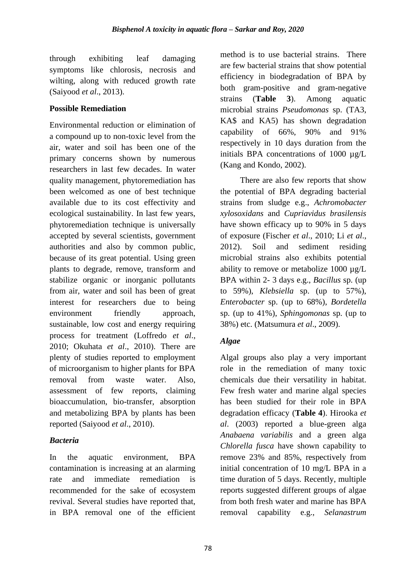through exhibiting leaf damaging symptoms like chlorosis, necrosis and wilting, along with reduced growth rate (Saiyood *et al*., 2013).

### **Possible Remediation**

Environmental reduction or elimination of a compound up to non-toxic level from the air, water and soil has been one of the primary concerns shown by numerous researchers in last few decades. In water quality management, phytoremediation has been welcomed as one of best technique available due to its cost effectivity and ecological sustainability. In last few years, phytoremediation technique is universally accepted by several scientists, government authorities and also by common public, because of its great potential. Using green plants to degrade, remove, transform and stabilize organic or inorganic pollutants from air, water and soil has been of great interest for researchers due to being environment friendly approach, sustainable, low cost and energy requiring process for treatment (Loffredo *et al*., 2010; Okuhata *et al*., 2010). There are plenty of studies reported to employment of microorganism to higher plants for BPA removal from waste water. Also, assessment of few reports, claiming bioaccumulation, bio-transfer, absorption and metabolizing BPA by plants has been reported (Saiyood *et al*., 2010).

# *Bacteria*

In the aquatic environment, BPA contamination is increasing at an alarming rate and immediate remediation recommended for the sake of ecosystem revival. Several studies have reported that, in BPA removal one of the efficient method is to use bacterial strains. There are few bacterial strains that show potential efficiency in biodegradation of BPA by both gram-positive and gram-negative strains (**Table 3**). Among aquatic microbial strains *Pseudomonas* sp. (TA3, KA\$ and KA5) has shown degradation capability of 66%, 90% and 91% respectively in 10 days duration from the initials BPA concentrations of 1000 µg/L (Kang and Kondo, 2002).

There are also few reports that show the potential of BPA degrading bacterial strains from sludge e.g., *Achromobacter xylosoxidans* and *Cupriavidus brasilensis*  have shown efficacy up to 90% in 5 days of exposure (Fischer *et al*., 2010; Li *et al*., 2012). Soil and sediment residing microbial strains also exhibits potential ability to remove or metabolize  $1000 \mu g/L$ BPA within 2- 3 days e.g., *Bacillus* sp. (up to 59%), *Klebsiella* sp. (up to 57%), *Enterobacter* sp. (up to 68%), *Bordetella*  sp. (up to 41%), *Sphingomonas* sp. (up to 38%) etc. (Matsumura *et al*., 2009).

# *Algae*

Algal groups also play a very important role in the remediation of many toxic chemicals due their versatility in habitat. Few fresh water and marine algal species has been studied for their role in BPA degradation efficacy (**Table 4**). Hirooka *et al*. (2003) reported a blue-green alga *Anabaena variabilis* and a green alga *Chlorella fusca* have shown capability to remove 23% and 85%, respectively from initial concentration of 10 mg/L BPA in a time duration of 5 days. Recently, multiple reports suggested different groups of algae from both fresh water and marine has BPA removal capability e.g., *Selanastrum*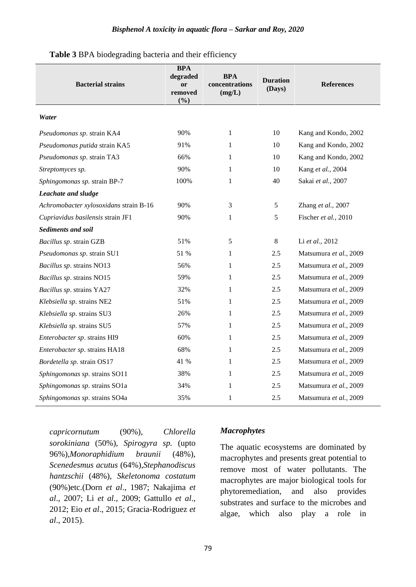| <b>Bacterial strains</b>               | <b>BPA</b><br>degraded<br>or<br>removed<br>(%) | <b>BPA</b><br>concentrations<br>(mg/L) | <b>Duration</b><br>(Days) | <b>References</b>      |
|----------------------------------------|------------------------------------------------|----------------------------------------|---------------------------|------------------------|
| Water                                  |                                                |                                        |                           |                        |
| Pseudomonas sp. strain KA4             | 90%                                            | 1                                      | 10                        | Kang and Kondo, 2002   |
| Pseudomonas putida strain KA5          | 91%                                            | $\mathbf{1}$                           | 10                        | Kang and Kondo, 2002   |
| Pseudomonas sp. strain TA3             | 66%                                            | $\mathbf{1}$                           | 10                        | Kang and Kondo, 2002   |
| Streptomyces sp.                       | 90%                                            | $\mathbf{1}$                           | 10                        | Kang et al., 2004      |
| Sphingomonas sp. strain BP-7           | 100%                                           | $\mathbf{1}$                           | 40                        | Sakai et al., 2007     |
| Leachate and sludge                    |                                                |                                        |                           |                        |
| Achromobacter xylosoxidans strain B-16 | 90%                                            | 3                                      | 5                         | Zhang et al., 2007     |
| Cupriavidus basilensis strain JF1      | 90%                                            | $\mathbf{1}$                           | 5                         | Fischer et al., 2010   |
| Sediments and soil                     |                                                |                                        |                           |                        |
| Bacillus sp. strain GZB                | 51%                                            | 5                                      | $\,8\,$                   | Li et al., 2012        |
| Pseudomonas sp. strain SU1             | 51 %                                           | 1                                      | 2.5                       | Matsumura et al., 2009 |
| Bacillus sp. strains NO13              | 56%                                            | 1                                      | 2.5                       | Matsumura et al., 2009 |
| Bacillus sp. strains NO15              | 59%                                            | $\mathbf{1}$                           | 2.5                       | Matsumura et al., 2009 |
| Bacillus sp. strains YA27              | 32%                                            | 1                                      | 2.5                       | Matsumura et al., 2009 |
| Klebsiella sp. strains NE2             | 51%                                            | $\mathbf{1}$                           | 2.5                       | Matsumura et al., 2009 |
| Klebsiella sp. strains SU3             | 26%                                            | 1                                      | 2.5                       | Matsumura et al., 2009 |
| Klebsiella sp. strains SU5             | 57%                                            | 1                                      | 2.5                       | Matsumura et al., 2009 |
| Enterobacter sp. strains HI9           | 60%                                            | $\mathbf{1}$                           | 2.5                       | Matsumura et al., 2009 |
| Enterobacter sp. strains HA18          | 68%                                            | 1                                      | 2.5                       | Matsumura et al., 2009 |
| Bordetella sp. strain OS17             | 41 %                                           | 1                                      | 2.5                       | Matsumura et al., 2009 |
| Sphingomonas sp. strains SO11          | 38%                                            | $\mathbf{1}$                           | 2.5                       | Matsumura et al., 2009 |
| Sphingomonas sp. strains SO1a          | 34%                                            | $\mathbf{1}$                           | 2.5                       | Matsumura et al., 2009 |
| Sphingomonas sp. strains SO4a          | 35%                                            | 1                                      | 2.5                       | Matsumura et al., 2009 |

**Table 3** BPA biodegrading bacteria and their efficiency

*capricornutum* (90%), *Chlorella sorokiniana* (50%), *Spirogyra sp.* (upto 96%),*Monoraphidium braunii* (48%), *Scenedesmus acutus* (64%),*Stephanodiscus hantzschii* (48%), *Skeletonoma costatum*  (90%)etc.(Dorn *et al*., 1987; Nakajima *et al*., 2007; Li *et al*., 2009; Gattullo *et al*., 2012; Eio *et al*., 2015; Gracia-Rodriguez *et al*., 2015).

#### *Macrophytes*

The aquatic ecosystems are dominated by macrophytes and presents great potential to remove most of water pollutants. The macrophytes are major biological tools for phytoremediation, and also provides substrates and surface to the microbes and algae, which also play a role in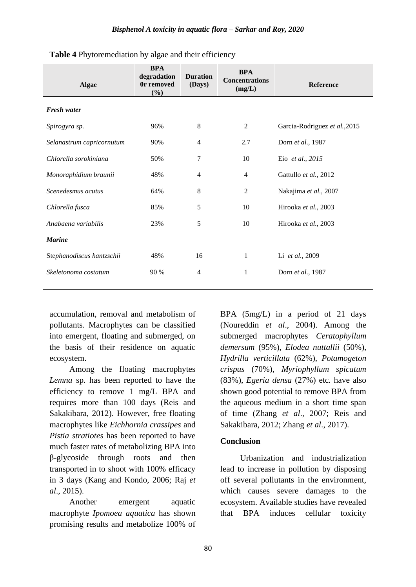| <b>Algae</b>              | <b>BPA</b><br>degradation<br>Or removed<br>$(\%)$ | <b>Duration</b><br>(Days) | <b>BPA</b><br><b>Concentrations</b><br>(mg/L) | Reference                     |
|---------------------------|---------------------------------------------------|---------------------------|-----------------------------------------------|-------------------------------|
| <b>Fresh water</b>        |                                                   |                           |                                               |                               |
| Spirogyra sp.             | 96%                                               | 8                         | $\overline{2}$                                | Garcia-Rodriguez et al., 2015 |
| Selanastrum capricornutum | 90%                                               | $\overline{4}$            | 2.7                                           | Dorn et al., 1987             |
| Chlorella sorokiniana     | 50%                                               | 7                         | 10                                            | Eio et al., 2015              |
| Monoraphidium braunii     | 48%                                               | 4                         | $\overline{4}$                                | Gattullo et al., 2012         |
| Scenedesmus acutus        | 64%                                               | 8                         | $\overline{2}$                                | Nakajima et al., 2007         |
| Chlorella fusca           | 85%                                               | 5                         | 10                                            | Hirooka et al., 2003          |
| Anabaena variabilis       | 23%                                               | 5                         | 10                                            | Hirooka et al., 2003          |
| <b>Marine</b>             |                                                   |                           |                                               |                               |
| Stephanodiscus hantzschii | 48%                                               | 16                        | $\mathbf{1}$                                  | Li et al., 2009               |
| Skeletonoma costatum      | 90 %                                              | $\overline{4}$            | 1                                             | Dorn et al., 1987             |
|                           |                                                   |                           |                                               |                               |

accumulation, removal and metabolism of pollutants. Macrophytes can be classified into emergent, floating and submerged, on the basis of their residence on aquatic ecosystem.

Among the floating macrophytes *Lemna* sp*.* has been reported to have the efficiency to remove 1 mg/L BPA and requires more than 100 days (Reis and Sakakibara, 2012). However, free floating macrophytes like *Eichhornia crassipes* and *Pistia stratiotes* has been reported to have much faster rates of metabolizing BPA into β-glycoside through roots and then transported in to shoot with 100% efficacy in 3 days (Kang and Kondo, 2006; Raj *et al*., 2015).

Another emergent aquatic macrophyte *Ipomoea aquatica* has shown promising results and metabolize 100% of BPA (5mg/L) in a period of 21 days (Noureddin *et al*., 2004). Among the submerged macrophytes *Ceratophyllum demersum* (95%), *Elodea nuttallii* (50%), *Hydrilla verticillata* (62%), *Potamogeton crispus* (70%), *Myriophyllum spicatum*  (83%), *Egeria densa* (27%) etc*.* have also shown good potential to remove BPA from the aqueous medium in a short time span of time (Zhang *et al*., 2007; Reis and Sakakibara, 2012; Zhang *et al*., 2017).

### **Conclusion**

Urbanization and industrialization lead to increase in pollution by disposing off several pollutants in the environment, which causes severe damages to the ecosystem. Available studies have revealed that BPA induces cellular toxicity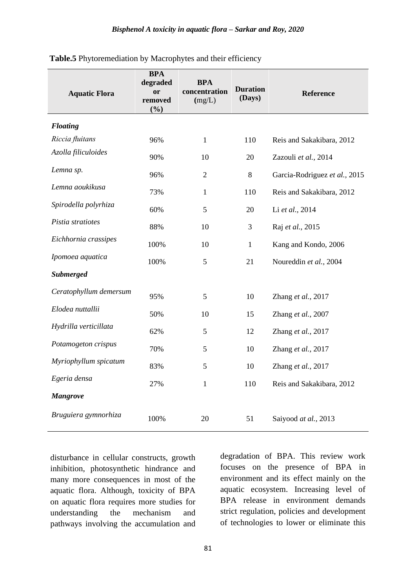| <b>Aquatic Flora</b>   | <b>BPA</b><br>degraded<br><b>or</b><br>removed<br>(%) | <b>BPA</b><br>concentration<br>(mg/L) | <b>Duration</b><br>(Days) | <b>Reference</b>              |
|------------------------|-------------------------------------------------------|---------------------------------------|---------------------------|-------------------------------|
| <b>Floating</b>        |                                                       |                                       |                           |                               |
| Riccia fluitans        | 96%                                                   | $\mathbf{1}$                          | 110                       | Reis and Sakakibara, 2012     |
| Azolla filiculoides    | 90%                                                   | 10                                    | 20                        | Zazouli et al., 2014          |
| Lemna sp.              | 96%                                                   | $\overline{2}$                        | $8\,$                     | Garcia-Rodriguez et al., 2015 |
| Lemna aoukikusa        | 73%                                                   | $\mathbf{1}$                          | 110                       | Reis and Sakakibara, 2012     |
| Spirodella polyrhiza   | 60%                                                   | 5                                     | 20                        | Li et al., 2014               |
| Pistia stratiotes      | 88%                                                   | 10                                    | 3                         | Raj et al., 2015              |
| Eichhornia crassipes   | 100%                                                  | 10                                    | $\mathbf{1}$              | Kang and Kondo, 2006          |
| Ipomoea aquatica       | 100%                                                  | 5                                     | 21                        | Noureddin et al., 2004        |
| <b>Submerged</b>       |                                                       |                                       |                           |                               |
| Ceratophyllum demersum | 95%                                                   | 5                                     | 10                        | Zhang et al., 2017            |
| Elodea nuttallii       | 50%                                                   | 10                                    | 15                        | Zhang et al., 2007            |
| Hydrilla verticillata  | 62%                                                   | 5                                     | 12                        | Zhang et al., 2017            |
| Potamogeton crispus    | 70%                                                   | 5                                     | 10                        | Zhang et al., 2017            |
| Myriophyllum spicatum  | 83%                                                   | 5                                     | 10                        | Zhang et al., 2017            |
| Egeria densa           | 27%                                                   | $\mathbf{1}$                          | 110                       | Reis and Sakakibara, 2012     |
| <b>Mangrove</b>        |                                                       |                                       |                           |                               |
| Bruguiera gymnorhiza   | 100%                                                  | 20                                    | 51                        | Saiyood at al., 2013          |

**Table.5** Phytoremediation by Macrophytes and their efficiency

disturbance in cellular constructs, growth inhibition, photosynthetic hindrance and many more consequences in most of the aquatic flora. Although, toxicity of BPA on aquatic flora requires more studies for understanding the mechanism and pathways involving the accumulation and degradation of BPA. This review work focuses on the presence of BPA in environment and its effect mainly on the aquatic ecosystem. Increasing level of BPA release in environment demands strict regulation, policies and development of technologies to lower or eliminate this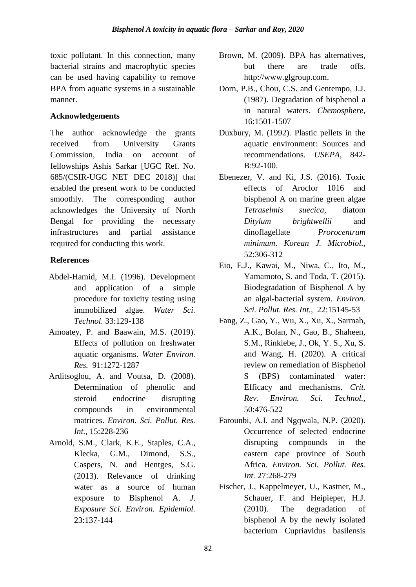toxic pollutant. In this connection, many bacterial strains and macrophytic species can be used having capability to remove BPA from aquatic systems in a sustainable manner.

### **Acknowledgements**

The author acknowledge the grants received from University Grants Commission, India on account of fellowships Ashis Sarkar [UGC Ref. No. 685/(CSIR-UGC NET DEC 2018)] that enabled the present work to be conducted smoothly. The corresponding author acknowledges the University of North Bengal for providing the necessary infrastructures and partial assistance required for conducting this work.

### **References**

- Abdel-Hamid, M.I. (1996). Development and application of a simple procedure for toxicity testing using immobilized algae. *Water Sci. Technol.* 33:129-138
- Amoatey, P. and Baawain, M.S. (2019). Effects of pollution on freshwater aquatic organisms. *Water Environ. Res.* 91:1272-1287
- Arditsoglou, A. and Voutsa, D. (2008). Determination of phenolic and steroid endocrine disrupting compounds in environmental matrices. *Environ. Sci. Pollut. Res. Int.,* 15:228-236
- Arnold, S.M., Clark, K.E., Staples, C.A., Klecka, G.M., Dimond, S.S., Caspers, N. and Hentges, S.G. (2013). Relevance of drinking water as a source of human exposure to Bisphenol A. *J. Exposure Sci. Environ. Epidemiol.*  23:137-144
- Brown, M. (2009). BPA has alternatives, but there are trade offs. [http://www.glgroup.com.](http://www.glgroup.com/)
- Dorn, P.B., Chou, C.S. and Gentempo, J.J. (1987). Degradation of bisphenol a in natural waters. *Chemosphere,*  16:1501-1507
- Duxbury, M. (1992). Plastic pellets in the aquatic environment: Sources and recommendations. *USEPA*, 842- B:92-100.
- Ebenezer, V. and Ki, J.S. (2016). Toxic effects of Aroclor 1016 and bisphenol A on marine green algae *Tetraselmis suecica*, diatom *Ditylum brightwellii* and dinoflagellate *Prorocentrum minimum*. *Korean J. Microbiol.,*  52:306-312
- Eio, E.J., Kawai, M., Niwa, C., Ito, M., Yamamoto, S. and Toda, T. (2015). Biodegradation of Bisphenol A by an algal-bacterial system. *Environ. Sci. Pollut. Res. Int.,* 22:15145-53
- Fang, Z., Gao, Y., Wu, X., Xu, X., Sarmah, A.K., Bolan, N., Gao, B., Shaheen, S.M., Rinklebe, J., Ok, Y. S., Xu, S. and Wang, H. (2020). A critical review on remediation of Bisphenol S (BPS) contaminated water: Efficacy and mechanisms. *Crit. Rev. Environ. Sci. Technol.,*  50:476-522
- Farounbi, A.I. and Ngqwala, N.P. (2020). Occurrence of selected endocrine disrupting compounds in the eastern cape province of South Africa. *Environ. Sci. Pollut. Res. Int.* 27:268-279
- Fischer, J., Kappelmeyer, U., Kastner, M., Schauer, F. and Heipieper, H.J. (2010). The degradation of bisphenol A by the newly isolated bacterium Cupriavidus basilensis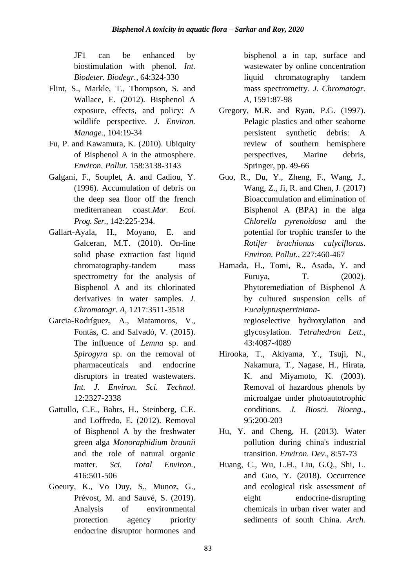JF1 can be enhanced by biostimulation with phenol. *Int. Biodeter. Biodegr.,* 64:324-330

- Flint, S., Markle, T., Thompson, S. and Wallace, E. (2012). Bisphenol A exposure, effects, and policy: A wildlife perspective. *J. Environ. Manage.,* 104:19-34
- Fu, P. and Kawamura, K. (2010). Ubiquity of Bisphenol A in the atmosphere. *Environ. Pollut.* 158:3138-3143
- Galgani, F., Souplet, A. and Cadiou, Y. (1996). Accumulation of debris on the deep sea floor off the french mediterranean coast.*Mar. Ecol. Prog. Ser.,* 142:225-234.
- Gallart-Ayala, H., Moyano, E. and Galceran, M.T. (2010). On-line solid phase extraction fast liquid chromatography-tandem mass spectrometry for the analysis of Bisphenol A and its chlorinated derivatives in water samples. *J. Chromatogr. A,* 1217:3511-3518
- Garcia-Rodríguez, A., Matamoros, V., Fontàs, C. and Salvadó, V. (2015). The influence of *Lemna* sp. and *Spirogyra* sp. on the removal of pharmaceuticals and endocrine disruptors in treated wastewaters. *Int. J. Environ. Sci. Technol.* 12:2327-2338
- Gattullo, C.E., Bahrs, H., Steinberg, C.E. and Loffredo, E. (2012). Removal of Bisphenol A by the freshwater green alga *Monoraphidium braunii* and the role of natural organic matter. *Sci. Total Environ.,*  416:501-506
- Goeury, K., Vo Duy, S., Munoz, G., Prévost, M. and Sauvé, S. (2019). Analysis of environmental protection agency priority endocrine disruptor hormones and

bisphenol a in tap, surface and wastewater by online concentration liquid chromatography tandem mass spectrometry. *J. Chromatogr. A,* 1591:87-98

- Gregory, M.R. and Ryan, P.G. (1997). Pelagic plastics and other seaborne persistent synthetic debris: A review of southern hemisphere perspectives, Marine debris, Springer, pp. 49-66
- Guo, R., Du, Y., Zheng, F., Wang, J., Wang, Z., Ji, R. and Chen, J. (2017) Bioaccumulation and elimination of Bisphenol A (BPA) in the alga *Chlorella pyrenoidosa* and the potential for trophic transfer to the *Rotifer brachionus calyciflorus*. *Environ. Pollut.,* 227:460-467
- Hamada, H., Tomi, R., Asada, Y. and Furuya, T. (2002). Phytoremediation of Bisphenol A by cultured suspension cells of *Eucalyptusperriniana*regioselective hydroxylation and glycosylation. *Tetrahedron Lett.,*  43:4087-4089
- Hirooka, T., Akiyama, Y., Tsuji, N., Nakamura, T., Nagase, H., Hirata, K. and Miyamoto, K. (2003). Removal of hazardous phenols by microalgae under photoautotrophic conditions. *J. Biosci. Bioeng.,*  95:200-203
- Hu, Y. and Cheng, H. (2013). Water pollution during china's industrial transition. *Environ. Dev.,* 8:57-73
- Huang, C., Wu, L.H., Liu, G.Q., Shi, L. and Guo, Y. (2018). Occurrence and ecological risk assessment of eight endocrine-disrupting chemicals in urban river water and sediments of south China. *Arch.*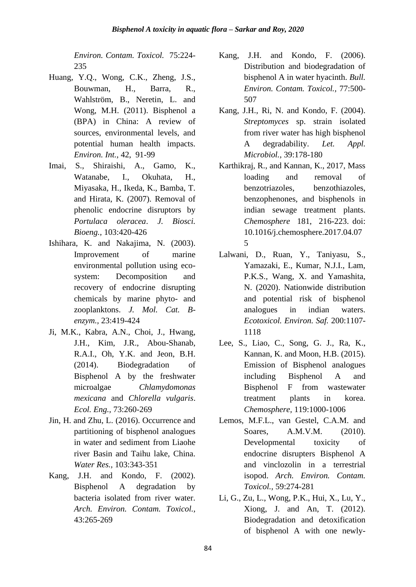*Environ. Contam. Toxicol.* 75:224- 235

- Huang, Y.Q., Wong, C.K., Zheng, J.S., Bouwman, H., Barra, R., Wahlström, B., Neretin, L. and Wong, M.H. (2011). Bisphenol a (BPA) in China: A review of sources, environmental levels, and potential human health impacts. *Environ. Int.,* 42, 91-99
- Imai, S., Shiraishi, A., Gamo, K., Watanabe, I., Okuhata, H., Miyasaka, H., Ikeda, K., Bamba, T. and Hirata, K. (2007). Removal of phenolic endocrine disruptors by *Portulaca oleracea*. *J. Biosci. Bioeng.,* 103:420-426
- Ishihara, K. and Nakajima, N. (2003). Improvement of marine environmental pollution using ecosystem: Decomposition and recovery of endocrine disrupting chemicals by marine phyto- and zooplanktons. *J. Mol. Cat. Benzym.,* 23:419-424
- Ji, M.K., Kabra, A.N., Choi, J., Hwang, J.H., Kim, J.R., Abou-Shanab, R.A.I., Oh, Y.K. and Jeon, B.H. (2014). Biodegradation of Bisphenol A by the freshwater microalgae *Chlamydomonas mexicana* and *Chlorella vulgaris*. *Ecol. Eng.,* 73:260-269
- Jin, H. and Zhu, L. (2016). Occurrence and partitioning of bisphenol analogues in water and sediment from Liaohe river Basin and Taihu lake, China. *Water Res.,* 103:343-351
- Kang, J.H. and Kondo, F. (2002). Bisphenol A degradation by bacteria isolated from river water. *Arch. Environ. Contam. Toxicol.,*  43:265-269
- Kang, J.H. and Kondo, F. (2006). Distribution and biodegradation of bisphenol A in water hyacinth. *Bull. Environ. Contam. Toxicol.,* 77:500- 507
- Kang, J.H., Ri, N. and Kondo, F. (2004). *Streptomyces* sp. strain isolated from river water has high bisphenol A degradability. *Let. Appl. Microbiol.,* 39:178-180
- Karthikraj, R., and Kannan, K., 2017, Mass loading and removal of benzotriazoles, benzothiazoles, benzophenones, and bisphenols in indian sewage treatment plants. *Chemosphere* 181, 216-223. doi: 10.1016/j.chemosphere.2017.04.07 5
- Lalwani, D., Ruan, Y., Taniyasu, S., Yamazaki, E., Kumar, N.J.I., Lam, P.K.S., Wang, X. and Yamashita, N. (2020). Nationwide distribution and potential risk of bisphenol analogues in indian waters. *Ecotoxicol. Environ. Saf.* 200:1107- 1118
- Lee, S., Liao, C., Song, G. J., Ra, K., Kannan, K. and Moon, H.B. (2015). Emission of Bisphenol analogues including Bisphenol A and Bisphenol F from wastewater treatment plants in korea. *Chemosphere,* 119:1000-1006
- Lemos, M.F.L., van Gestel, C.A.M. and Soares. A.M.V.M. (2010). Developmental toxicity of endocrine disrupters Bisphenol A and vinclozolin in a terrestrial isopod. *Arch. Environ. Contam. Toxicol.,* 59:274-281
- Li, G., Zu, L., Wong, P.K., Hui, X., Lu, Y., Xiong, J. and An, T. (2012). Biodegradation and detoxification of bisphenol A with one newly-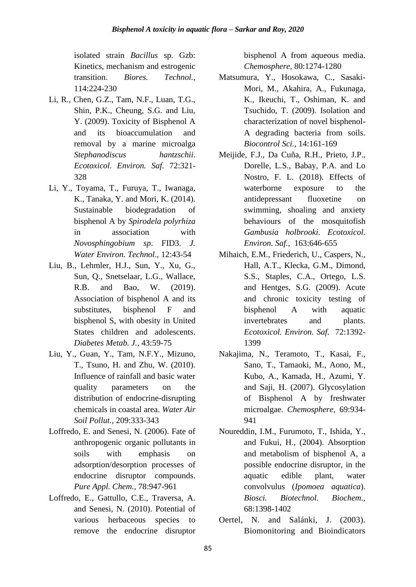isolated strain *Bacillus* sp. Gzb: Kinetics, mechanism and estrogenic transition. *Biores. Technol.,* 114:224-230

- Li, R., Chen, G.Z., Tam, N.F., Luan, T.G., Shin, P.K., Cheung, S.G. and Liu, Y. (2009). Toxicity of Bisphenol A and its bioaccumulation and removal by a marine microalga *Stephanodiscus hantzschii*. *Ecotoxicol. Environ. Saf.* 72:321- 328
- Li, Y., Toyama, T., Furuya, T., Iwanaga, K., Tanaka, Y. and Mori, K. (2014). Sustainable biodegradation of bisphenol A by *Spirodela polyrhiza* in association with *Novosphingobium sp*. FID3. *J. Water Environ. Technol.,* 12:43-54
- Liu, B., Lehmler, H.J., Sun, Y., Xu, G., Sun, Q., Snetselaar, L.G., Wallace, R.B. and Bao, W. (2019). Association of bisphenol A and its substitutes, bisphenol F and bisphenol S, with obesity in United States children and adolescents. *Diabetes Metab. J.,* 43:59-75
- Liu, Y., Guan, Y., Tam, N.F.Y., Mizuno, T., Tsuno, H. and Zhu, W. (2010). Influence of rainfall and basic water quality parameters on the distribution of endocrine-disrupting chemicals in coastal area. *Water Air Soil Pollut.,* 209:333-343
- Loffredo, E. and Senesi, N. (2006). Fate of anthropogenic organic pollutants in soils with emphasis on adsorption/desorption processes of endocrine disruptor compounds. *Pure Appl. Chem.,* 78:947-961
- Loffredo, E., Gattullo, C.E., Traversa, A. and Senesi, N. (2010). Potential of various herbaceous species to remove the endocrine disruptor

bisphenol A from aqueous media. *Chemosphere,* 80:1274-1280

- Matsumura, Y., Hosokawa, C., Sasaki-Mori, M., Akahira, A., Fukunaga, K., Ikeuchi, T., Oshiman, K. and Tsuchido, T. (2009). Isolation and characterization of novel bisphenol-A degrading bacteria from soils. *Biocontrol Sci.,* 14:161-169
- Meijide, F.J., Da Cuña, R.H., Prieto, J.P., Dorelle, L.S., Babay, P.A. and Lo Nostro, F. L. (2018). Effects of waterborne exposure to the antidepressant fluoxetine on swimming, shoaling and anxiety behaviours of the mosquitofish *Gambusia holbrooki*. *Ecotoxicol. Environ. Saf.,* 163:646-655
- Mihaich, E.M., Friederich, U., Caspers, N., Hall, A.T., Klecka, G.M., Dimond, S.S., Staples, C.A., Ortego, L.S. and Hentges, S.G. (2009). Acute and chronic toxicity testing of bisphenol A with aquatic invertebrates and plants. *Ecotoxicol. Environ. Saf.* 72:1392- 1399
- Nakajima, N., Teramoto, T., Kasai, F., Sano, T., Tamaoki, M., Aono, M., Kubo, A., Kamada, H., Azumi, Y. and Saji, H. (2007). Glycosylation of Bisphenol A by freshwater microalgae. *Chemosphere,* 69:934- 941
- Noureddin, I.M., Furumoto, T., Ishida, Y., and Fukui, H., (2004). Absorption and metabolism of bisphenol A, a possible endocrine disruptor, in the aquatic edible plant, water convolvulus (*Ipomoea aquatica*). *Biosci. Biotechnol. Biochem.,*  68:1398-1402
- Oertel, N. and Salánki, J. (2003). Biomonitoring and Bioindicators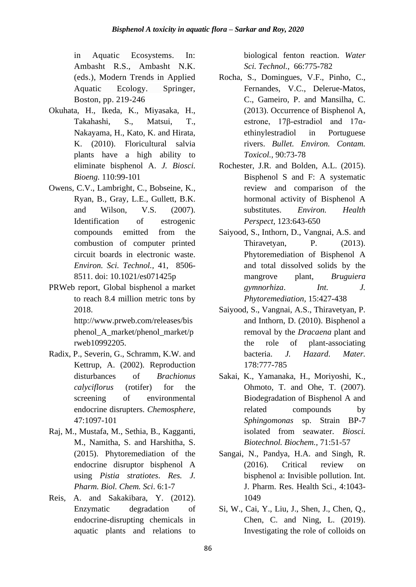in Aquatic Ecosystems. In: Ambasht R.S., Ambasht N.K. (eds.), Modern Trends in Applied Aquatic Ecology. Springer, Boston, pp. 219-246

- Okuhata, H., Ikeda, K., Miyasaka, H., Takahashi, S., Matsui, T., Nakayama, H., Kato, K. and Hirata, K. (2010). Floricultural salvia plants have a high ability to eliminate bisphenol A. *J. Biosci. Bioeng.* 110:99-101
- Owens, C.V., Lambright, C., Bobseine, K., Ryan, B., Gray, L.E., Gullett, B.K. and Wilson, V.S. (2007). Identification of estrogenic compounds emitted from the combustion of computer printed circuit boards in electronic waste. *Environ. Sci. Technol.,* 41, 8506- 8511. doi: 10.1021/es071425p
- PRWeb report, Global bisphenol a market to reach 8.4 million metric tons by 2018.

[http://www.](http://www/)prweb.com/releases/bis phenol\_A\_market/phenol\_market/p rweb10992205.

- Radix, P., Severin, G., Schramm, K.W. and Kettrup, A. (2002). Reproduction disturbances of *Brachionus calyciflorus* (rotifer) for the screening of environmental endocrine disrupters. *Chemosphere,*  47:1097-101
- Raj, M., Mustafa, M., Sethia, B., Kagganti, M., Namitha, S. and Harshitha, S. (2015). Phytoremediation of the endocrine disruptor bisphenol A using *Pistia stratiotes*. *Res. J. Pharm. Biol. Chem. Sci*. 6:1-7
- Reis, A. and Sakakibara, Y. (2012). Enzymatic degradation of endocrine-disrupting chemicals in aquatic plants and relations to

biological fenton reaction. *Water Sci. Technol.,* 66:775-782

- Rocha, S., Domingues, V.F., Pinho, C., Fernandes, V.C., Delerue-Matos, C., Gameiro, P. and Mansilha, C. (2013). Occurrence of Bisphenol A, estrone, 17β-estradiol and 17αethinylestradiol in Portuguese rivers. *Bullet. Environ. Contam. Toxicol.,* 90:73-78
- Rochester, J.R. and Bolden, A.L. (2015). Bisphenol S and F: A systematic review and comparison of the hormonal activity of Bisphenol A substitutes. *Environ. Health Perspect,* 123:643-650
- Saiyood, S., Inthorn, D., Vangnai, A.S. and Thiravetyan, P. (2013). Phytoremediation of Bisphenol A and total dissolved solids by the mangrove plant, *Bruguiera gymnorhiza*. *Int. J. Phytoremediation,* 15:427-438
- Saiyood, S., Vangnai, A.S., Thiravetyan, P. and Inthorn, D. (2010). Bisphenol a removal by the *Dracaena* plant and the role of plant-associating bacteria. *J. Hazard. Mater.*  178:777-785
- Sakai, K., Yamanaka, H., Moriyoshi, K., Ohmoto, T. and Ohe, T. (2007). Biodegradation of Bisphenol A and related compounds by *Sphingomonas* sp. Strain BP-7 isolated from seawater. *Biosci. Biotechnol. Biochem.,* 71:51-57
- Sangai, N., Pandya, H.A. and Singh, R. (2016). Critical review on bisphenol a: Invisible pollution. Int. J. Pharm. Res. Health Sci., 4:1043- 1049
- Si, W., Cai, Y., Liu, J., Shen, J., Chen, Q., Chen, C. and Ning, L. (2019). Investigating the role of colloids on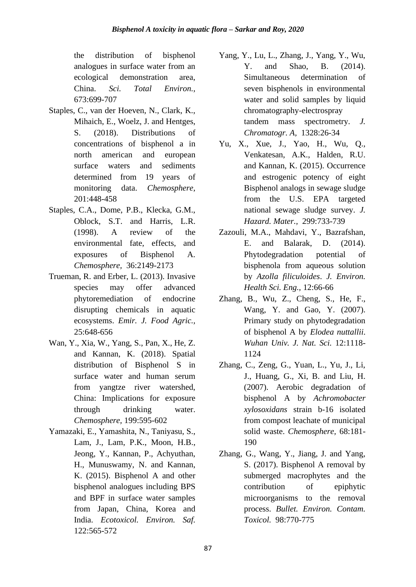the distribution of bisphenol analogues in surface water from an ecological demonstration area, China. *Sci. Total Environ.,* 673:699-707

- Staples, C., van der Hoeven, N., Clark, K., Mihaich, E., Woelz, J. and Hentges, S. (2018). Distributions of concentrations of bisphenol a in north american and european surface waters and sediments determined from 19 years of monitoring data. *Chemosphere,* 201:448-458
- Staples, C.A., Dome, P.B., Klecka, G.M., Oblock, S.T. and Harris, L.R. (1998). A review of the environmental fate, effects, and exposures of Bisphenol A. *Chemosphere,* 36:2149-2173
- Trueman, R. and Erber, L. (2013). Invasive species may offer advanced phytoremediation of endocrine disrupting chemicals in aquatic ecosystems. *Emir. J. Food Agric.,* 25:648-656
- Wan, Y., Xia, W., Yang, S., Pan, X., He, Z. and Kannan, K. (2018). Spatial distribution of Bisphenol S in surface water and human serum from yangtze river watershed, China: Implications for exposure through drinking water. *Chemosphere,* 199:595-602
- Yamazaki, E., Yamashita, N., Taniyasu, S., Lam, J., Lam, P.K., Moon, H.B., Jeong, Y., Kannan, P., Achyuthan, H., Munuswamy, N. and Kannan, K. (2015). Bisphenol A and other bisphenol analogues including BPS and BPF in surface water samples from Japan, China, Korea and India. *Ecotoxicol. Environ. Saf.*  122:565-572
- Yang, Y., Lu, L., Zhang, J., Yang, Y., Wu, Y. and Shao, B. (2014). Simultaneous determination of seven bisphenols in environmental water and solid samples by liquid chromatography-electrospray tandem mass spectrometry. *J. Chromatogr. A,* 1328:26-34
- Yu, X., Xue, J., Yao, H., Wu, Q., Venkatesan, A.K., Halden, R.U. and Kannan, K. (2015). Occurrence and estrogenic potency of eight Bisphenol analogs in sewage sludge from the U.S. EPA targeted national sewage sludge survey. *J. Hazard. Mater.,* 299:733-739
- Zazouli, M.A., Mahdavi, Y., Bazrafshan, E. and Balarak, D. (2014). Phytodegradation potential of bisphenola from aqueous solution by *Azolla filiculoides*. *J. Environ. Health Sci. Eng.,* 12:66-66
- Zhang, B., Wu, Z., Cheng, S., He, F., Wang, Y. and Gao, Y. (2007). Primary study on phytodegradation of bisphenol A by *Elodea nuttallii*. *Wuhan Univ. J. Nat. Sci.* 12:1118- 1124
- Zhang, C., Zeng, G., Yuan, L., Yu, J., Li, J., Huang, G., Xi, B. and Liu, H. (2007). Aerobic degradation of bisphenol A by *Achromobacter xylosoxidans* strain b-16 isolated from compost leachate of municipal solid waste. *Chemosphere,* 68:181- 190
- Zhang, G., Wang, Y., Jiang, J. and Yang, S. (2017). Bisphenol A removal by submerged macrophytes and the contribution of epiphytic microorganisms to the removal process. *Bullet. Environ. Contam. Toxicol.* 98:770-775